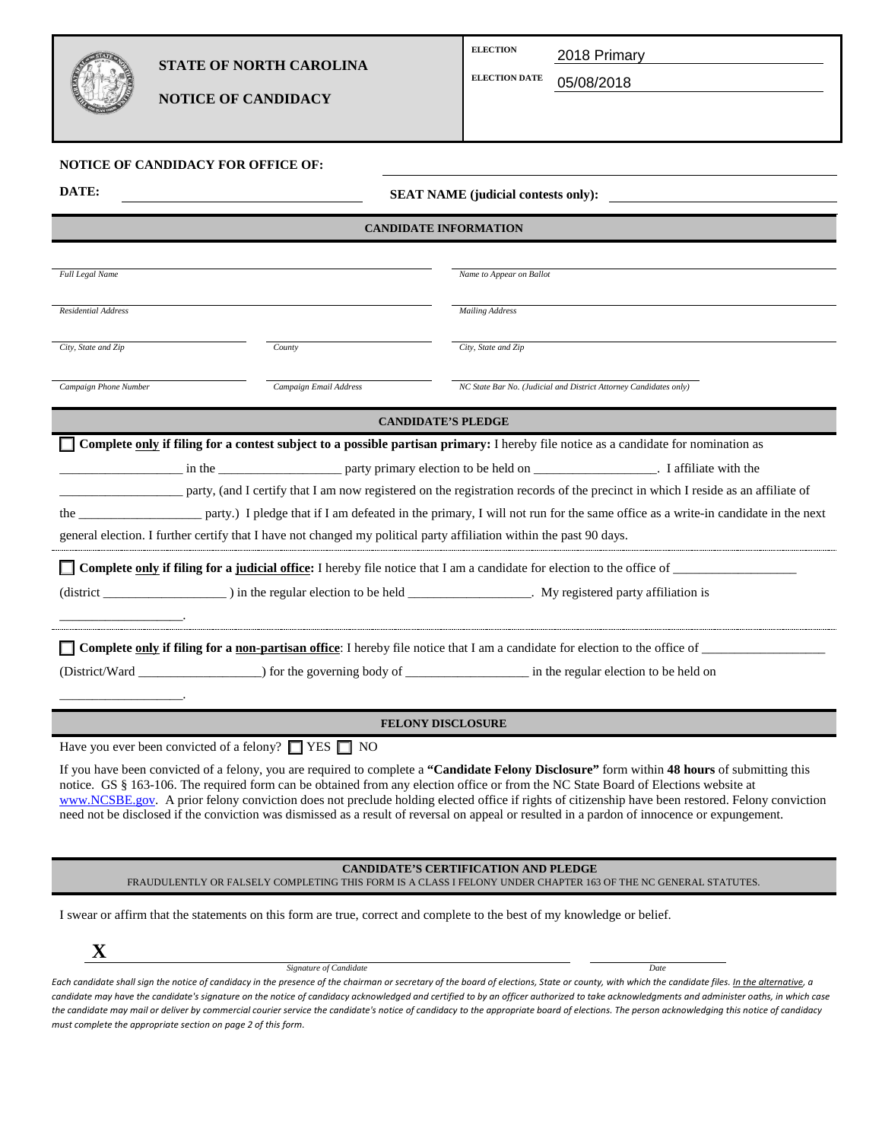| B |  |
|---|--|
| 4 |  |

## **STATE OF NORTH CAROLINA**

**NOTICE OF CANDIDACY**

| <b>ELECTION</b> | 2018 Primary |  |
|-----------------|--------------|--|
|-----------------|--------------|--|

**ELECTION DATE** [ELECTION DATE] 05/08/2018

| NOTICE OF CANDIDACY FOR OFFICE OF:                            |                                                                |                                                                                                                                                                                                                                                                                                                                                                                                                                                                                                                                                                                                |  |  |
|---------------------------------------------------------------|----------------------------------------------------------------|------------------------------------------------------------------------------------------------------------------------------------------------------------------------------------------------------------------------------------------------------------------------------------------------------------------------------------------------------------------------------------------------------------------------------------------------------------------------------------------------------------------------------------------------------------------------------------------------|--|--|
| DATE:                                                         |                                                                | <b>SEAT NAME</b> (judicial contests only):                                                                                                                                                                                                                                                                                                                                                                                                                                                                                                                                                     |  |  |
| <b>CANDIDATE INFORMATION</b>                                  |                                                                |                                                                                                                                                                                                                                                                                                                                                                                                                                                                                                                                                                                                |  |  |
|                                                               |                                                                |                                                                                                                                                                                                                                                                                                                                                                                                                                                                                                                                                                                                |  |  |
| Full Legal Name                                               |                                                                | Name to Appear on Ballot                                                                                                                                                                                                                                                                                                                                                                                                                                                                                                                                                                       |  |  |
| Residential Address                                           |                                                                | <b>Mailing Address</b>                                                                                                                                                                                                                                                                                                                                                                                                                                                                                                                                                                         |  |  |
| City, State and Zip                                           | County                                                         | City, State and Zip                                                                                                                                                                                                                                                                                                                                                                                                                                                                                                                                                                            |  |  |
| Campaign Phone Number                                         | Campaign Email Address                                         | NC State Bar No. (Judicial and District Attorney Candidates only)                                                                                                                                                                                                                                                                                                                                                                                                                                                                                                                              |  |  |
|                                                               |                                                                | <b>CANDIDATE'S PLEDGE</b>                                                                                                                                                                                                                                                                                                                                                                                                                                                                                                                                                                      |  |  |
|                                                               |                                                                | <b>T</b> Complete only if filing for a contest subject to a possible partisan primary: I hereby file notice as a candidate for nomination as<br>party, (and I certify that I am now registered on the registration records of the precinct in which I reside as an affiliate of<br>the next party.) I pledge that if I am defeated in the primary, I will not run for the same office as a write-in candidate in the next                                                                                                                                                                      |  |  |
|                                                               |                                                                | general election. I further certify that I have not changed my political party affiliation within the past 90 days.                                                                                                                                                                                                                                                                                                                                                                                                                                                                            |  |  |
|                                                               |                                                                | Complete only if filing for a judicial office: I hereby file notice that I am a candidate for election to the office of                                                                                                                                                                                                                                                                                                                                                                                                                                                                        |  |  |
|                                                               |                                                                |                                                                                                                                                                                                                                                                                                                                                                                                                                                                                                                                                                                                |  |  |
|                                                               |                                                                | (District/Ward __________________) for the governing body of _________________ in the regular election to be held on                                                                                                                                                                                                                                                                                                                                                                                                                                                                           |  |  |
| <b>FELONY DISCLOSURE</b>                                      |                                                                |                                                                                                                                                                                                                                                                                                                                                                                                                                                                                                                                                                                                |  |  |
|                                                               | Have you ever been convicted of a felony? $\Box$ YES $\Box$ NO |                                                                                                                                                                                                                                                                                                                                                                                                                                                                                                                                                                                                |  |  |
|                                                               |                                                                | If you have been convicted of a felony, you are required to complete a "Candidate Felony Disclosure" form within 48 hours of submitting this<br>notice. GS § 163-106. The required form can be obtained from any election office or from the NC State Board of Elections website at<br>www.NCSBE.gov. A prior felony conviction does not preclude holding elected office if rights of citizenship have been restored. Felony conviction<br>need not be disclosed if the conviction was dismissed as a result of reversal on appeal or resulted in a pardon of innocence or expungement.        |  |  |
|                                                               |                                                                | <b>CANDIDATE'S CERTIFICATION AND PLEDGE</b><br>FRAUDULENTLY OR FALSELY COMPLETING THIS FORM IS A CLASS I FELONY UNDER CHAPTER 163 OF THE NC GENERAL STATUTES.                                                                                                                                                                                                                                                                                                                                                                                                                                  |  |  |
|                                                               |                                                                | I swear or affirm that the statements on this form are true, correct and complete to the best of my knowledge or belief.                                                                                                                                                                                                                                                                                                                                                                                                                                                                       |  |  |
| $\mathbf X$                                                   | Signature of Candidate                                         | Date                                                                                                                                                                                                                                                                                                                                                                                                                                                                                                                                                                                           |  |  |
| must complete the appropriate section on page 2 of this form. |                                                                | Each candidate shall sign the notice of candidacy in the presence of the chairman or secretary of the board of elections, State or county, with which the candidate files. In the alternative, a<br>candidate may have the candidate's signature on the notice of candidacy acknowledged and certified to by an officer authorized to take acknowledgments and administer oaths, in which case<br>the candidate may mail or deliver by commercial courier service the candidate's notice of candidacy to the appropriate board of elections. The person acknowledging this notice of candidacy |  |  |